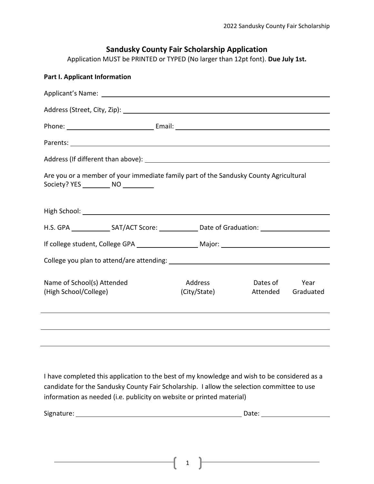# **Sandusky County Fair Scholarship Application**

Application MUST be PRINTED or TYPED (No larger than 12pt font). **Due July 1st.**

| Part I. Applicant Information                                                                                                                                                                                                       |  |                         |  |                      |                   |
|-------------------------------------------------------------------------------------------------------------------------------------------------------------------------------------------------------------------------------------|--|-------------------------|--|----------------------|-------------------|
|                                                                                                                                                                                                                                     |  |                         |  |                      |                   |
|                                                                                                                                                                                                                                     |  |                         |  |                      |                   |
|                                                                                                                                                                                                                                     |  |                         |  |                      |                   |
|                                                                                                                                                                                                                                     |  |                         |  |                      |                   |
| Address (If different than above): Address (If different than above):                                                                                                                                                               |  |                         |  |                      |                   |
| Are you or a member of your immediate family part of the Sandusky County Agricultural<br>Society? YES ___________ NO ___________                                                                                                    |  |                         |  |                      |                   |
| High School: <u>Alexander School</u> School and The School School School and The School School School School School School School School School School School School School School School School School School School School School |  |                         |  |                      |                   |
| H.S. GPA __________________SAT/ACT Score: ________________Date of Graduation: ______________________                                                                                                                                |  |                         |  |                      |                   |
|                                                                                                                                                                                                                                     |  |                         |  |                      |                   |
|                                                                                                                                                                                                                                     |  |                         |  |                      |                   |
| Name of School(s) Attended<br>(High School/College)                                                                                                                                                                                 |  | Address<br>(City/State) |  | Dates of<br>Attended | Year<br>Graduated |
|                                                                                                                                                                                                                                     |  |                         |  |                      |                   |
|                                                                                                                                                                                                                                     |  |                         |  |                      |                   |

I have completed this application to the best of my knowledge and wish to be considered as a candidate for the Sandusky County Fair Scholarship. I allow the selection committee to use information as needed (i.e. publicity on website or printed material)

Signature: Date:

 $1$